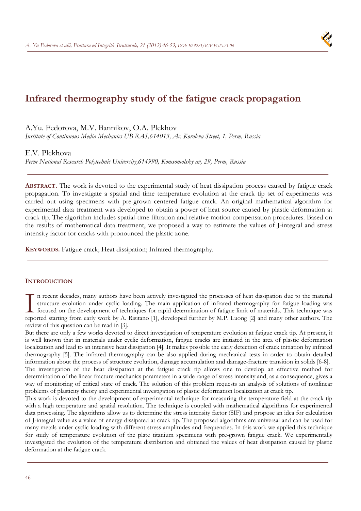# **Infrared thermography study of the fatigue crack propagation**

A.Yu. Fedorova, M.V. Bannikov, O.A. Plekhov

*Institute of Continuous Media Mechanics UB RAS,614013, Ac. Koroleva Street, 1, Perm, Russia* 

# E.V. Plekhova

*Perm National Research Polytechnic University,614990, Komsomolsky av, 29, Perm, Russia* 

**ABSTRACT.** The work is devoted to the experimental study of heat dissipation process caused by fatigue crack propagation. To investigate a spatial and time temperature evolution at the crack tip set of experiments was carried out using specimens with pre-grown centered fatigue crack. An original mathematical algorithm for experimental data treatment was developed to obtain a power of heat source caused by plastic deformation at crack tip. The algorithm includes spatial-time filtration and relative motion compensation procedures. Based on the results of mathematical data treatment, we proposed a way to estimate the values of J-integral and stress intensity factor for cracks with pronounced the plastic zone.

**KEYWORDS.** Fatigue crack; Heat dissipation; Infrared thermography.

# **INTRODUCTION**

n recent decades, many authors have been actively investigated the processes of heat dissipation due to the material structure evolution under cyclic loading. The main application of infrared thermography for fatigue loading was focused on the development of techniques for rapid determination of fatigue limit of materials. This technique was In recent decades, many authors have been actively investigated the processes of heat dissipation due to the material structure evolution under cyclic loading. The main application of infrared thermography for fatigue load review of this question can be read in [3].

But there are only a few works devoted to direct investigation of temperature evolution at fatigue crack tip. At present, it is well known that in materials under cyclic deformation, fatigue cracks are initiated in the area of plastic deformation localization and lead to an intensive heat dissipation [4]. It makes possible the early detection of crack initiation by infrared thermography [5]. The infrared thermography can be also applied during mechanical tests in order to obtain detailed information about the process of structure evolution, damage accumulation and damage-fracture transition in solids [6-8]. The investigation of the heat dissipation at the fatigue crack tip allows one to develop an effective method for

determination of the linear fracture mechanics parameters in a wide range of stress intensity and, as a consequence, gives a way of monitoring of critical state of crack. The solution of this problem requests an analysis of solutions of nonlinear problems of plasticity theory and experimental investigation of plastic deformation localization at crack tip.

This work is devoted to the development of experimental technique for measuring the temperature field at the crack tip with a high temperature and spatial resolution. The technique is coupled with mathematical algorithms for experimental data processing. The algorithms allow us to determine the stress intensity factor (SIF) and propose an idea for calculation of J-integral value as a value of energy dissipated at crack tip. The proposed algorithms are universal and can be used for many metals under cyclic loading with different stress amplitudes and frequencies. In this work we applied this technique for study of temperature evolution of the plate titanium specimens with pre-grown fatigue crack. We experimentally investigated the evolution of the temperature distribution and obtained the values of heat dissipation caused by plastic deformation at the fatigue crack.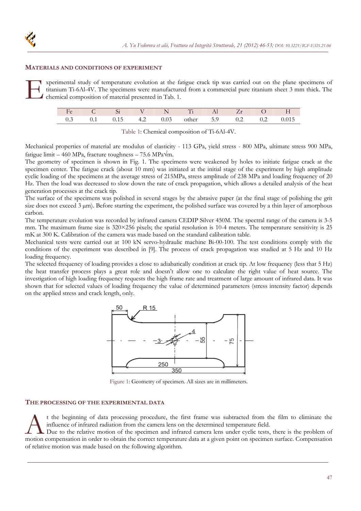#### **MATERIALS AND CONDITIONS OF EXPERIMENT**

xperimental study of temperature evolution at the fatigue crack tip was carried out on the plane specimens of titanium Ti-6Al-4V. The specimens were manufactured from a commercial pure titanium sheet 3 mm thick. The chemical composition of material presented in Tab. 1. E de de la proposa de la partie de la partie de la partie de la partie de la partie de la partie de la partie de la partie de la partie de la partie de la partie de la partie de la partie de la partie de la partie de la pa

|     |              |          | $\triangle$ N | $T_i$ Al      |  |     |       |
|-----|--------------|----------|---------------|---------------|--|-----|-------|
| 0.3 | $0.1$ $0.15$ | 4.2 0.03 |               | other 5.9 0.2 |  | 0.2 | 0.015 |

|  |  |  | Table 1: Chemical composition of Ti-6Al-4V. |
|--|--|--|---------------------------------------------|
|--|--|--|---------------------------------------------|

Mechanical properties of material are modulus of elasticity - 113 GPa, yield stress - 800 MPa, ultimate stress 900 MPa, fatigue limit – 460 MPa, fracture toughness – 75.6 MPa $\sqrt{m}$ .

The geometry of specimen is shown in Fig. 1. The specimens were weakened by holes to initiate fatigue crack at the specimen center. The fatigue crack (about 10 mm) was initiated at the initial stage of the experiment by high amplitude cyclic loading of the specimens at the average stress of 215MPa, stress amplitude of 238 MPa and loading frequency of 20 Hz. Then the load was decreased to slow down the rate of crack propagation, which allows a detailed analysis of the heat generation processes at the crack tip.

The surface of the specimens was polished in several stages by the abrasive paper (at the final stage of polishing the grit size does not exceed  $3 \mu m$ ). Before starting the experiment, the polished surface was covered by a thin layer of amorphous carbon.

The temperature evolution was recorded by infrared camera CEDIP Silver 450M. The spectral range of the camera is 3-5 mm. The maximum frame size is  $320\times256$  pixels; the spatial resolution is 10-4 meters. The temperature sensitivity is 25 mK at 300 K. Calibration of the camera was made based on the standard calibration table.

Mechanical tests were carried out at 100 kN servo-hydraulic machine Bi-00-100. The test conditions comply with the conditions of the experiment was described in [9]. The process of crack propagation was studied at 5 Hz and 10 Hz loading frequency.

The selected frequency of loading provides a close to adiabatically condition at crack tip. At low frequency (less that 5 Hz) the heat transfer process plays a great role and doesn't allow one to calculate the right value of heat source. The investigation of high loading frequency requests the high frame rate and treatment of large amount of infrared data. It was shown that for selected values of loading frequency the value of determined parameters (stress intensity factor) depends on the applied stress and crack length, only.



Figure 1: Geometry of specimen. All sizes are in millimeters.

### **THE PROCESSING OF THE EXPERIMENTAL DATA**

t the beginning of data processing procedure, the first frame was subtracted from the film to eliminate the influence of infrared radiation from the camera lens on the determined temperature field. It the beginning of data processing procedure, the first frame was subtracted from the film to eliminate the influence of infrared radiation from the camera lens on the determined temperature field. Due to the relative mot

Due to the relative motion of the specimen and infrared camera lens under cyclic tests, there is the problem of of relative motion was made based on the following algorithm.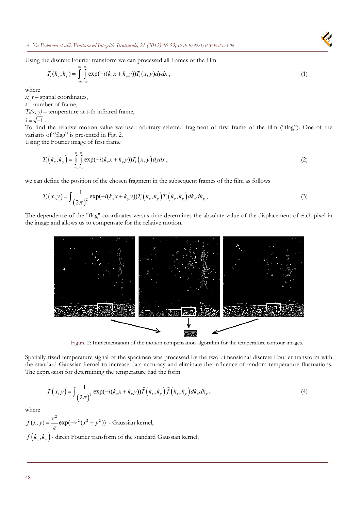*A. Yu Fedorova et alii, Frattura ed Integrità Strutturale, 21 (2012) 46-53; [DOI: 10.3221/IGF-ESIS.21.06](http://dx.medra.org/10.3221/IGF-ESIS.21.06&auth=true)* 

Using the discrete Fourier transform we can processed all frames of the film

$$
T_t(k_x, k_y) = \int_{-\infty}^{\infty} \int_{-\infty}^{\infty} \exp(-i(k_x x + k_y y)) T_t(x, y) dy dx , \qquad (1)
$$

where

*x, y* – spatial coordinates,

*t* – number of frame,

 $T_t(x, y)$  – temperature at t-th infrared frame,

 $i = \sqrt{-1}$ .

To find the relative motion value we used arbitrary selected fragment of first frame of the film ("flag"). One of the variants of "flag" is presented in Fig. 2.

Using the Fourier image of first frame

$$
T_1(k_x, k_y) = \int_{-\infty}^{\infty} \int_{-\infty}^{\infty} \exp(-i(k_x x + k_y y)) T_1(x, y) dy dx,
$$
 (2)

we can define the position of the chosen fragment in the subsequent frames of the film as follows

$$
T_{t}(x,y) = \int \frac{1}{(2\pi)^{2}} \exp(-i(k_{x}x + k_{y}y)) T_{t}(k_{x},k_{y}) T_{1}(k_{x},k_{y}) dk_{x} dk_{y},
$$
\n(3)

The dependence of the "flag" coordinates versus time determines the absolute value of the displacement of each pixel in the image and allows us to compensate for the relative motion.



Figure 2: Implementation of the motion compensation algorithm for the temperature contour images.

Spatially fixed temperature signal of the specimen was processed by the two-dimensional discrete Fourier transform with the standard Gaussian kernel to increase data accuracy and eliminate the influence of random temperature fluctuations. The expression for determining the temperature had the form

$$
T(x,y) = \int \frac{1}{(2\pi)^2} \exp(-i(k_x x + k_y y)) \widehat{T}(k_x, k_y) \widehat{f}(k_x, k_y) dk_x dk_y,
$$
\n(4)

where

 $(x, y) = \frac{v^2}{2} \exp(-v^2(x^2 + y^2))$  $f(x, y) = \frac{v}{\pi} \exp(-v^2(x^2 + y^2))$  - Gaussian kernel,  $\widehat{f}\left(k_{x},k_{y}\right)$  - direct Fourier transform of the standard Gaussian kernel,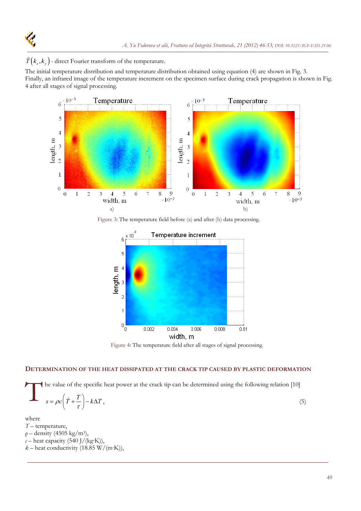$\widehat{T}(k_x, k_y)$  - direct Fourier transform of the temperature.

The initial temperature distribution and temperature distribution obtained using equation (4) are shown in Fig. 3. Finally, an infrared image of the temperature increment on the specimen surface during crack propagation is shown in Fig. 4 after all stages of signal processing.



Figure 3: The temperature field before (a) and after (b) data processing.



Figure 4: The temperature field after all stages of signal processing.

# **DETERMINATION OF THE HEAT DISSIPATED AT THE CRACK TIP CAUSED BY PLASTIC DEFORMATION**

he value of the specific heat power at the crack tip can be determined using the following relation [10]  $s = \rho c \left( \dot{T} + \frac{T}{\tau} \right) - k \Delta T$ ,

$$
s = \rho c \left( \dot{T} + \frac{T}{\tau} \right) - k \Delta T \,, \tag{5}
$$

- where *T* – temperature,
- *ρ* density (4505 kg/m3),
- $c$  heat capacity (540 J/(kg·K)),
- $k$  heat conductivity (18.85 W/(m·K)),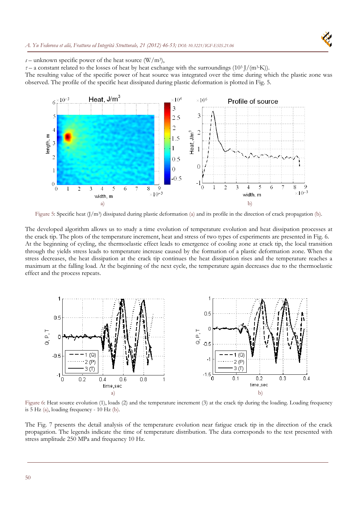

*s* – unknown specific power of the heat source  $(W/m^3)$ ,

 $\tau$  – a constant related to the losses of heat by heat exchange with the surroundings (10<sup>3</sup> J/(m<sup>3</sup>·K)).

The resulting value of the specific power of heat source was integrated over the time during which the plastic zone was observed. The profile of the specific heat dissipated during plastic deformation is plotted in Fig. 5.



Figure 5: Specific heat (J/m<sup>3</sup>) dissipated during plastic deformation (a) and its profile in the direction of crack propagation (b).

The developed algorithm allows us to study a time evolution of temperature evolution and heat dissipation processes at the crack tip. The plots of the temperature increment, heat and stress of two types of experiments are presented in Fig. 6. At the beginning of cycling, the thermoelastic effect leads to emergence of cooling zone at crack tip, the local transition through the yields stress leads to temperature increase caused by the formation of a plastic deformation zone. When the stress decreases, the heat dissipation at the crack tip continues the heat dissipation rises and the temperature reaches a maximum at the falling load. At the beginning of the next cycle, the temperature again decreases due to the thermoelastic effect and the process repeats.



Figure 6: Heat source evolution (1), loads (2) and the temperature increment (3) at the crack tip during the loading. Loading frequency is 5 Hz (a), loading frequency - 10 Hz (b).

The Fig. 7 presents the detail analysis of the temperature evolution near fatigue crack tip in the direction of the crack propagation. The legends indicate the time of temperature distribution. The data corresponds to the test presented with stress amplitude 250 MPa and frequency 10 Hz.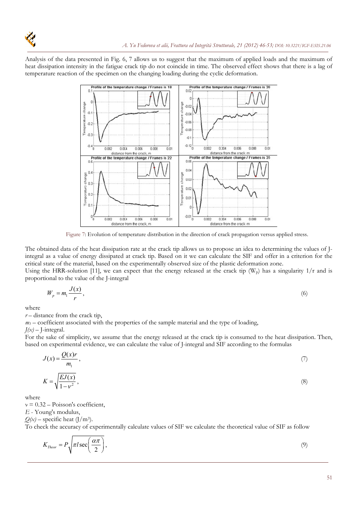

Analysis of the data presented in Fig. 6, 7 allows us to suggest that the maximum of applied loads and the maximum of heat dissipation intensity in the fatigue crack tip do not coincide in time. The observed effect shows that there is a lag of temperature reaction of the specimen on the changing loading during the cyclic deformation.



Figure 7: Evolution of temperature distribution in the direction of crack propagation versus applied stress.

The obtained data of the heat dissipation rate at the crack tip allows us to propose an idea to determining the values of Jintegral as a value of energy dissipated at crack tip. Based on it we can calculate the SIF and offer in a criterion for the critical state of the material, based on the experimentally observed size of the plastic deformation zone.

Using the HRR-solution [11], we can expect that the energy released at the crack tip  $(W_p)$  has a singularity 1/r and is proportional to the value of the J-integral

$$
W_p = m_1 \frac{J(x)}{r},\tag{6}
$$

where

 $r$  – distance from the crack tip,

 $m_1$  – coefficient associated with the properties of the sample material and the type of loading,

 $J(x)$  – J-integral.

For the sake of simplicity, we assume that the energy released at the crack tip is consumed to the heat dissipation. Then, based on experimental evidence, we can calculate the value of J-integral and SIF according to the formulas

$$
J(x) = \frac{Q(x)r}{m_1},\tag{7}
$$

$$
K = \sqrt{\frac{EJ(x)}{1 - v^2}},\tag{8}
$$

where

 $v = 0.32 - \text{Poisson's coefficient}$ ,

*Е* - Young's modulus,

 $Q(x)$  – specific heat (J/m<sup>3</sup>).

To check the accuracy of experimentally calculate values of SIF we calculate the theoretical value of SIF as follow

$$
K_{Theor} = P \sqrt{\pi l \sec\left(\frac{\alpha \pi}{2}\right)},\tag{9}
$$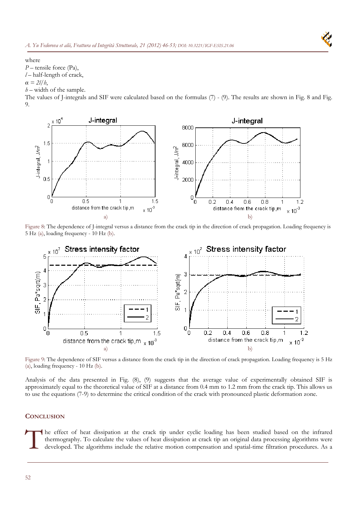

where

*P* – tensile force (Pa),

*l* – half-length of crack,

 $\alpha = \frac{2l}{b}$ ,

*h* – width of the sample.

The values of J-integrals and SIF were calculated based on the formulas (7) - (9). The results are shown in Fig. 8 and Fig. 9.



Figure 8: The dependence of J-integral versus a distance from the crack tip in the direction of crack propagation. Loading frequency is 5 Hz (a), loading frequency - 10 Hz (b).



Figure 9: The dependence of SIF versus a distance from the crack tip in the direction of crack propagation. Loading frequency is 5 Hz (a), loading frequency - 10 Hz (b).

Analysis of the data presented in Fig. (8), (9) suggests that the average value of experimentally obtained SIF is approximately equal to the theoretical value of SIF at a distance from 0.4 mm to 1.2 mm from the crack tip. This allows us to use the equations (7-9) to determine the critical condition of the crack with pronounced plastic deformation zone.

### **CONCLUSION**

he effect of heat dissipation at the crack tip under cyclic loading has been studied based on the infrared thermography. To calculate the values of heat dissipation at crack tip an original data processing algorithms were<br>developed. The algorithms include the relative motion compensation and spatial-time filtration procedures.